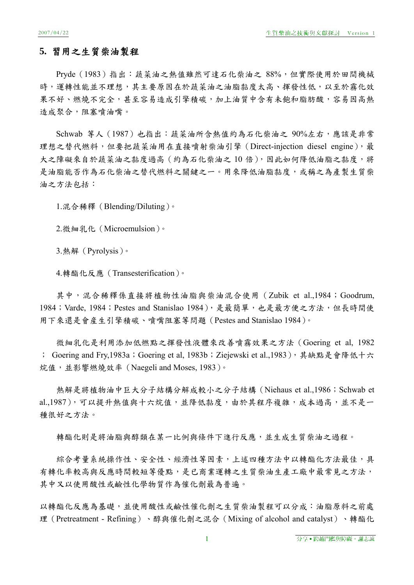## **5.** 習用之生質柴油製程

Pryde(1983)指出:蔬菜油之熱值雖然可達石化柴油之 88%,但實際使用於田間機械 時,運轉性能並不理想,其主要原因在於蔬菜油之油脂黏度太高、揮發性低,以至於霧化效 果不好、燃燒不完全,甚至容易造成引擎積碳,加上油質中含有未飽和脂肪酸,容易因高熱 造成聚合,阻塞噴油嘴。

Schwab 等人 (1987) 也指出: 蔬菜油所含熱值約為石化柴油之 90%左右,應該是非常 理想之替代燃料,但要把蔬菜油用在直接噴射柴油引擎 (Direct-injection diesel engine), 最 大之障礙來自於蔬菜油之黏度過高(約為石化柴油之10倍),因此如何降低油脂之黏度,將 是油脂能否作為石化柴油之替代燃料之關鍵之一。用來降低油脂黏度,或稱之為產製生質柴 油之方法包括:

1.混合稀釋(Blending/Diluting)。

2.微細乳化(Microemulsion)。

3.熱解(Pyrolysis)。

4.轉酯化反應(Transesterification)。

其中,混合稀釋係直接將植物性油脂與柴油混合使用 (Zubik et al.,1984; Goodrum, 1984; Varde, 1984; Pestes and Stanislao 1984), 是最簡單, 也是最方便之方法, 但長時間使 用下來還是會産生引擎積碳、噴嘴阻塞等問題(Pestes and Stanislao 1984)。

微細乳化是利用添加低燃點之揮發性液體來改善噴霧效果之方法(Goering et al, 1982 ; Goering and Fry, 1983a; Goering et al, 1983b; Ziejewski et al., 1983), 其缺點是會降低十六 烷值,並影響燃燒效率(Naegeli and Moses, 1983)。

熱解是將植物油中巨大分子結構分解成較小之分子結構(Niehaus et al.,1986;Schwab et al.,1987),可以提升熱值與十六烷值,並降低黏度,由於其程序複雜,成本過高,並不是一 種很好之方法。

轉酯化則是將油脂與醇和在某一比例與條件下進行反應,並生成生質柴油之過程。

**綜合考量系統操作性、安全性、經濟性等因素,上述四種方法中以轉酯化方法最佳,具** 有轉化率較高與反應時間較短等優點,是已商業運轉之生質柴油生產工廠中最常見之方法, 其中又以使用酸性或鹼性化學物質作為催化劑最為普遍。

以轉酯化反應為基礎,並使用酸性或鹼性催化劑之生質柴油製程可以分成:油脂原料之前處 理(Pretreatment - Refining)、醇與催化劑之混合(Mixing of alcohol and catalyst)、轉酯化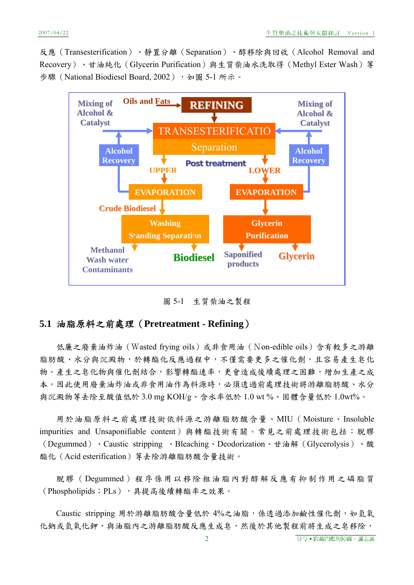反應(Transesterification)、靜置分離(Separation)、醇移除與回收(Alcohol Removal and Recovery)、甘油純化(Glycerin Purification)與生質柴油水洗取得(Methyl Ester Wash)等 步驟 (National Biodiesel Board, 2002), 如圖 5-1 所示。



圖 5-1 生質柴油之製程

### **5.1** 油脂原料之前處理(**Pretreatment - Refining**)

低廉之廢棄油炸油(Wasted frying oils)或非食用油(Non-edible oils)含有較多之游離 脂肪酸、水分與沉澱物,於轉酯化反應過程中,不僅需要更多之催化劑,且容易產生皂化 物。產生之皂化物與催化劑結合,影響轉酯速率,更會造成後續處理之困難,增加生產之成 本。因此使用廢棄油炸油或非食用油作為料源時,必須透過前處理技術將游離脂肪酸、水分 與沉澱物等去除至酸值低於 3.0 mg KOH/g、含水率低於 1.0 wt %、固體含量低於 1.0wt%。

用於油脂原料之前處理技術依料源之游離脂肪酸含量、MIU(Moisture、Insoluble impurities and Unsaponifiable content)與轉酯技術有關。常見之前處理技術包括:脫膠 (Degummed)、Caustic stripping 、Bleaching、Deodorization、甘油解(Glycerolysis)、酸 酯化(Acid esterification)等去除游離脂肪酸含量技術。

脫膠(Degummed)程序係用以移除粗油脂內對醇解反應有抑制作用之磷脂質 (Phospholipids; PLs),具提高後續轉酯率之效果。

Caustic stripping 用於游離脂肪酸含量低於 4%之油脂,係透過添加鹼性催化劑,如氫氧 化鈉或氫氧化鉀,與油脂內之游離脂肪酸反應生成皂,然後於其他製程前將生成之皂移除,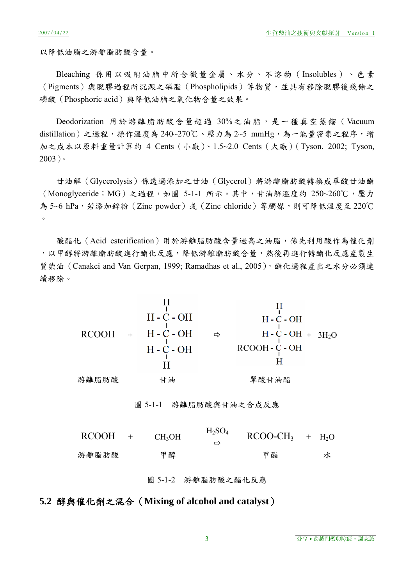以降低油脂之游離脂肪酸含量。

Bleaching 係用以吸附油脂中所含微量金屬、水分、不溶物(Insolubles)、色素 (Pigments)與脫膠過程所沉澱之磷脂 (Phospholipids) 等物質,並具有移除脫膠後殘餘之 磷酸(Phosphoric acid)與降低油脂之氧化物含量之效果。

Deodorization 用於游離脂肪酸含量超過 30%之油脂,是一種真空蒸餾 (Vacuum distillation)之過程,操作溫度為 240~270℃、壓力為 2~5 mmHg,為一能量密集之程序,增 加之成本以原料重量計算約 4 Cents(小廠)、1.5~2.0 Cents(大廠)(Tyson, 2002; Tyson, 2003)。

甘油解(Glycerolysis)係透過添加之甘油(Glycerol)將游離脂肪酸轉換成單酸甘油酯 (Monoglyceride;MG)之過程,如圖 5-1-1 所示。其中,甘油解溫度約 250~260℃,壓力 為 5~6 hPa,若添加鋅粉(Zinc powder)或(Zinc chloride)等觸媒,則可降低溫度至 220℃  $\circ$ 

酸酯化(Acid esterification)用於游離脂肪酸含量過高之油脂,係先利用酸作為催化劑 ,以甲醇將游離脂肪酸進行酯化反應,降低游離脂肪酸含量,然後再進行轉酯化反應產製生 質柴油 (Canakci and Van Gerpan, 1999; Ramadhas et al., 2005),酯化過程產出之水分必須連 續移除。

\n
$$
\begin{array}{r}\n \text{H} \\
 \text{H} - \text{C} - \text{OH} \\
 \text{H} - \text{C} - \text{OH} \\
 \text{H} - \text{C} - \text{OH} \\
 \text{H} - \text{C} - \text{OH} \\
 \text{H} - \text{C} - \text{OH} \\
 \text{H} - \text{C} - \text{OH} \\
 \text{H} \\
 \text{H} \\
 \text{H} \\
 \text{H} \\
 \text{H} \\
 \text{H} \\
 \text{H} \\
 \text{H} \\
 \text{H} \\
 \text{H} \\
 \text{H} \\
 \text{H} \\
 \text{H} \\
 \text{H} \\
 \text{H} \\
 \text{H} \\
 \text{H} \\
 \text{H} \\
 \text{H} \\
 \text{H} \\
 \text{H} \\
 \text{H} \\
 \text{H} \\
 \text{H} \\
 \text{H} \\
 \text{H} \\
 \text{H} \\
 \text{H} \\
 \text{H} \\
 \text{H} \\
 \text{H} \\
 \text{H} \\
 \text{H} \\
 \text{H} \\
 \text{H} \\
 \text{H} \\
 \text{H} \\
 \text{H} \\
 \text{H} \\
 \text{H} \\
 \text{H} \\
 \text{H} \\
 \text{H} \\
 \text{H} \\
 \text{H} \\
 \text{H} \\
 \text{H} \\
 \text{H} \\
 \text{H} \\
 \text{H} \\
 \text{H} \\
 \text{H} \\
 \text{H} \\
 \text{H} \\
 \text{H} \\
 \text{H} \\
 \text{H} \\
 \text{H} \\
 \text{H} \\
 \text{H} \\
 \text{H} \\
 \text{H} \\
 \text{H} \\
 \text{H} \\
 \text{H} \\
 \text{H} \\
 \text{H} \\
 \text{H} \\
 \text{H} \\
 \text{H} \\
 \text{H} \\
 \text{H} \\
 \text{H} \\
 \text{H} \\
 \text{H} \\
 \text{H} \\
 \text{H} \\
 \text{H} \\
 \text{H} \\
 \text{H} \\
 \text{H} \\
 \text{H} \\
 \text{H} \\
 \text{H} \\
 \text{H} \\
 \text{H} \\
 \text{H} \\
 \text{H} \\
 \text{H} \\
 \text{H} \\
 \text{H} \\
 \text{H} \\
 \text{H} \\
 \text{H} \\
 \text{H} \\
 \text{H} \\
 \text{H} \\
 \text{H} \\
 \text{H} \\
 \text{H} \\
 \text{H} \\
 \text{H} \\
 \text{H} \\
 \text{H} \\
 \text{H} \\
 \text{H
$$

# **5.2** 醇與催化劑之混合(**Mixing of alcohol and catalyst**)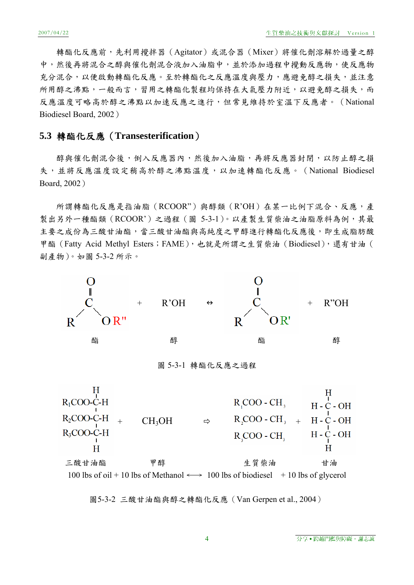轉酯化反應前,先利用攪拌器(Agitator)或混合器(Mixer)將催化劑溶解於過量之醇 中,然後再將混合之醇與催化劑混合液加入油脂中,並於添加過程中攪動反應物,使反應物 充分混合,以便啟動轉酯化反應。至於轉酯化之反應溫度與壓力,應避免醇之損失,並注意 所用醇之沸點,一般而言,習用之轉酯化製程均保持在大氣壓力附近,以避免醇之損失,而 反應溫度可略高於醇之沸點以加速反應之進行,但常見維持於室溫下反應者。(National Biodiesel Board, 2002)

# **5.3** 轉酯化反應(**Transesterification**)

醇與催化劑混合後,倒入反應器內,然後加入油脂,再將反應器封閉,以防止醇之損 失,並將反應溫度設定稍高於醇之沸點溫度,以加速轉酯化反應。(National Biodiesel Board, 2002)

所謂轉酯化反應是指油脂(RCOOR")與醇類(R'OH)在某一比例下混合、反應,產 製出另外一種酯類 (RCOOR')之過程 (圖 5-3-1)。以產製生質柴油之油脂原料為例,其最 主要之成份為三酸甘油酯(甘油酯與高純度之甲醇進行轉酯化反應後,即生成脂肪酸 甲酯(Fatty Acid Methyl Esters;FAME),也就是所謂之生質柴油(Biodiesel),還有甘油( 副產物)。如圖 5-3-2 所示。



圖 5-3-1 轉酯化反應之過程

Ħ  $R_{1}COO-C-H$  $R_{1}COO - CH_{1}$  $H - C - OH$  $CH_3OH \qquad \Rightarrow \qquad R_2COO - CH_3 +$  $R_2$ COO-C-H  $H - C - OH$  $R_3COO$ -C-H  $R_{\sim}$ COO - CH<sub>2</sub>  $C - OH$  $H H$  $H$ 三酸甘油酯 甲醇 医甲醇 生質柴油 甘油 100 lbs of oil + 10 lbs of Methanol  $\longleftrightarrow$  100 lbs of biodiesel + 10 lbs of glycerol

圖5-3-2 三酸甘油酯與醇之轉酯化反應(Van Gerpen et al., 2004)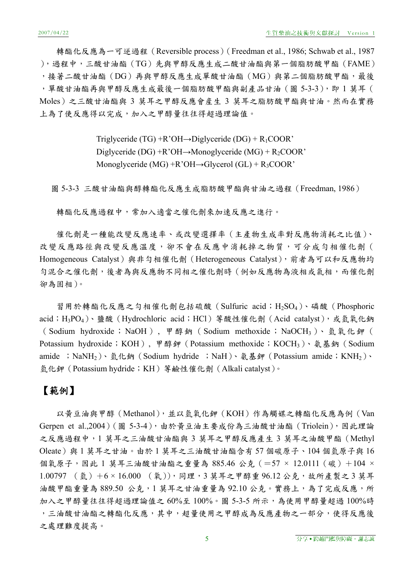轉酯化反應為一可逆過程 (Reversible process) (Freedman et al., 1986; Schwab et al., 1987 ),過程中,三酸甘油酯(TG)先與甲醇反應生成二酸甘油酯與第一個脂肪酸甲酯(FAME) ,接著二酸甘油酯(DG)再與甲醇反應生成單酸甘油酯(MG)與第二個脂肪酸甲酯,最後 ,單酸甘油酯再與甲醇反應生成最後一個脂肪酸甲酯與副產品甘油(圖 5-3-3),即 1 莫耳( Moles)之三酸甘油酯與 3 莫耳之甲醇反應會産生 3 莫耳之脂肪酸甲酯與甘油。然而在實務 上為了使反應得以完成,加入之甲醇量往往得超過理論值。

> Triglyceride (TG) +R'OH→Diglyceride (DG) +  $R_1$ COOR' Diglyceride (DG) +R'OH→Monoglyceride (MG) + R<sub>2</sub>COOR' Monoglyceride  $(MG) + R'OH \rightarrow Glvcerol (GL) + R_3COOR'$

圖 5-3-3 三酸甘油酯與醇轉酯化反應生成脂肪酸甲酯與甘油之過程(Freedman, 1986)

轉酯化反應過程中,常加入適當之催化劑來加速反應之進行。

催化劑是一種能改變反應速率、或改變選擇率(主產物生成率對反應物消耗之比值)、 改變反應與改變反應溫度,卻不會在反應中消耗掉之物質,可分成勻相催化劑( Homogeneous Catalyst)與非勻相催化劑 (Heterogeneous Catalyst), 前者為可以和反應物均 勻混合之催化劑,後者為與反應物不同相之催化劑時(例如反應物為液相或氣相,而催化劑 卻為固相)。

習用於轉酯化反應之勻相催化劑包括硫酸 (Sulfuric acid; H<sub>2</sub>SO<sub>4</sub>)、磷酸 (Phosphoric acid; H<sub>3</sub>PO<sub>4</sub>)、鹽酸(Hydrochloric acid; HCl)等酸性催化劑(Acid catalyst), 或氫氧化鈉 (Sodium hydroxide; NaOH), 甲醇鈉 (Sodium methoxide; NaOCH3)、氫氧化鉀 ( Potassium hydroxide; KOH), 甲醇鉀 (Potassium methoxide; KOCH3)、氨基鈉 (Sodium amide ; NaNH<sub>2</sub>)、氫化鈉 (Sodium hydride ; NaH)、氨基鉀 (Potassium amide; KNH<sub>2</sub>)、 氫化鉀(Potassium hydride;KH)等鹼性催化劑(Alkali catalyst)。

# 【範例】

以黃豆油與甲醇(Methanol),並以氫氧化鉀(KOH)作為觸媒之轉酯化反應為例(Van Gerpen et al.,2004)(圖 5-3-4),由於黃豆油主要成份為三油酸甘油酯(Triolein),因此理論 之反應過程中,1 莫耳之三油酸甘油酯與 3 莫耳之甲醇反應產生 3 莫耳之油酸甲酯(Methyl Oleate)與 1 莫耳之甘油。由於 1 莫耳之三油酸甘油酯含有 57 個碳原子、104 個氫原子與 16 個氧原子,因此 1 莫耳三油酸甘油酯之重量為 885.46 公克 (=57 × 12.0111 (碳) +104 ×  $1.00797$  (氫) +6 × 16.000 (氧)),同理,3 莫耳之甲醇重 96.12 公克,故所產製之3 莫耳 油酸甲酯重量為 889.50 公克, 1 莫耳之甘油重量為 92.10 公克。實務上,為了完成反應,所 加入之甲醇量往往得超過理論值之 60%至 100%。圖 5-3-5 所示,為使用甲醇量超過 100%時 ,三油酸甘油酯之轉酯化反應,其中,超量使用之甲醇成為反應產物之一部分,使得反應後 之處理難度提高。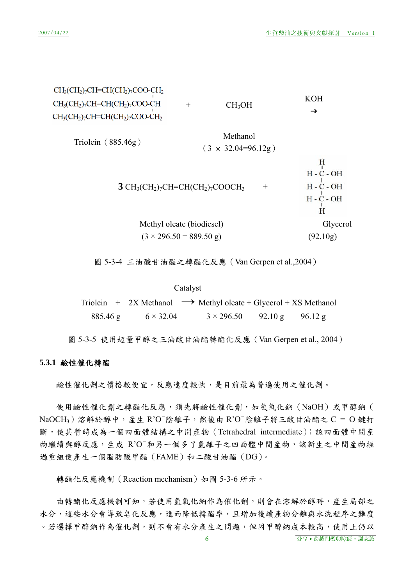

圖 5-3-4 三油酸甘油酯之轉酯化反應(Van Gerpen et al.,2004)

Catalyst

Triolein + 2X Methanol  $\rightarrow$  Methyl oleate + Glycerol + XS Methanol  $885.46 \text{ g}$   $6 \times 32.04$   $3 \times 296.50$   $92.10 \text{ g}$   $96.12 \text{ g}$ 

圖 5-3-5 使用超量甲醇之三油酸甘油酯轉酯化反應(Van Gerpen et al., 2004)

#### **5.3.1** 鹼性催化轉酯

鹼性催化劑之價格較便宜,反應速度較快,是目前最為普遍使用之催化劑。

使用鹼性催化劑之轉酯化反應,須先將鹼性催化劑,如氫氧化鈉(NaOH)或甲醇鈉(  $NaOCH<sub>3</sub>$ ) 溶解於醇中, 產生 R'O 陰離子, 然後由 R'O 陰離子將三酸甘油酯之 C = O 鍵打 斷,使其暫時成為一個四面體結構之中間産物(Tetrahedral intermediate);該四面體中間産 物繼續與醇反應,生成 R'O-和另一個多了氫離子之四面體中間産物,該新生之中間産物經 過重組便產生一個脂肪酸甲酯(FAME)和二酸甘油酯(DG)。

轉酯化反應機制 (Reaction mechanism)如圖 5-3-6 所示。

由轉酯化反應機制可知,若使用氫氧化納作為催化劑,則會在溶解於醇時,產生局部之 水分,這些水分會導致皂化反應,進而降低轉酯率,且增加後續產物分離與水洗程序之難度 。若選擇甲醇鈉作為催化劑,則不會有水分產生之問題,但因甲醇納成本較高,使用上仍以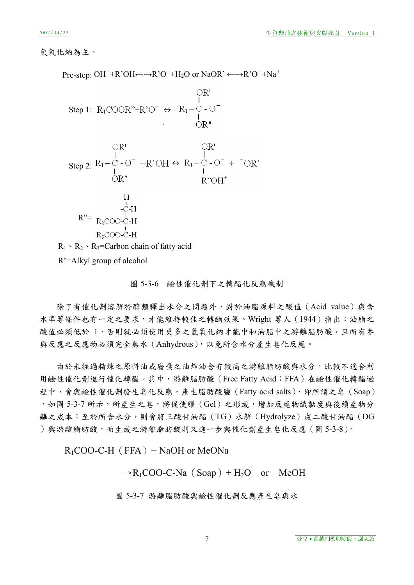### 氫氧化納為主。

Pre-step: OH<sup>-</sup>+R'OH←→R'O<sup>-</sup>+H<sub>2</sub>O or NaOR' ←→R'O<sup>-</sup>+Na<sup>+</sup>

Step 1: 
$$
R_1 \text{COOR}^n + R^\prime \text{O}^- \leftrightarrow R_1 - C - \text{O}^-
$$
  
\n $\downarrow$   
\nOR''

OR' OR'  
\nStep 2: 
$$
R_1-C-O^-
$$
 +R'OH ↔  $R_1-C-O^-$  +  $\overline{~}OR$ '  
\nOR''  
\n $R^{\prime\prime}$ OH<sup>+</sup>

H  
\n
$$
R^{\prime\prime} = \begin{array}{c}\nH \\
-C-H \\
-C-H \\
R_2COO-C-H \\
R_3COO-C-H\n\end{array}
$$

 $R_1 \cdot R_2 \cdot R_3$ =Carbon chain of fatty acid

R'=Alkyl group of alcohol

#### 圖 5-3-6 鹼性催化劑下之轉酯化反應機制

除了有催化劑溶解於醇類釋出水分之問題外,對於油脂原料之酸值 (Acid value)與含 水率等條件也有一定之要求,才能維持較佳之轉酯效果。Wright 等人 (1944) 指出:油脂之 酸值必須低於 1,否則就必須使用更多之氫氧化納才能中和油脂中之游離脂肪酸,且所有參 與反應之反應物必須完全無水(Anhydrous),以免所含水分產生皂化反應。

由於未經過精煉之原料油或廢棄之油炸油含有較高之游離脂肪酸與水分,比較不適合利 用鹼性催化劑進行催化轉酯。其中,游離脂肪酸 (Free Fatty Acid;FFA) 在鹼性催化轉酯過 程中,會與鹼性催化劑發生皂化反應,產生脂肪酸鹽(Fatty acid salts),即所謂之皂(Soap) , 如圖 5-3-7 所示, 所產生之皂, 將促使膠 (Gel) 之形成, 增加反應物織黏度與後續產物分 離之成本;至於所含水分,則會將三酸甘油酯(TG)水解(Hydrolyze)成二酸甘油酯(DG )與游離脂肪酸,而生成之游離脂肪酸則又進一步與催化劑產生皂化反應(圖 5-3-8)。

 $R_1$ COO-C-H $(FFA)$  + NaOH or MeONa

 $\rightarrow R_1COO-C-Na$  (Soap) + H<sub>2</sub>O or MeOH

圖 5-3-7 游離脂肪酸與鹼性催化劑反應產生皂與水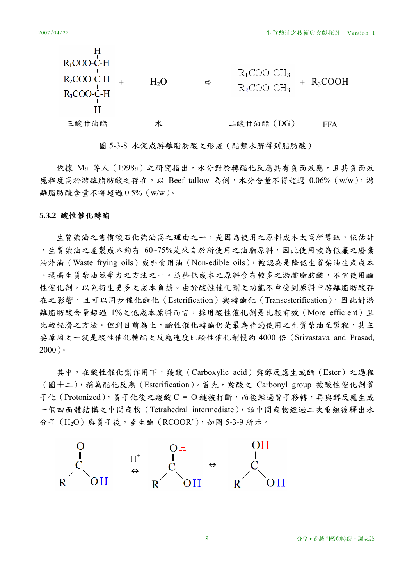| $R_1$ COO-C-H<br>$R_2$ COO-C-H<br>$R_3$ COO-C-H | H <sub>2</sub> O | ⇨ | $R_1$ COO-C $H_3$<br>$R_2$ COO-C $H_3$ | $+ R_3COOH$ |
|-------------------------------------------------|------------------|---|----------------------------------------|-------------|
| 三酸甘油酯                                           | ΖК               |   | 二酸甘油酯 (DG)                             | FFA         |

圖 5-3-8 水促成游離脂肪酸之形成(酯類水解得到脂肪酸)

依據 Ma 等人 (1998a) 之研究指出,水分對於轉酯化反應具有負面效應,且其負面效 應程度高於游離脂肪酸之存在,以 Beef tallow 為例,水分含量不得超過 0.06% (w/w),游 離脂肪酸含量不得超過 0.5%(w/w)。

#### **5.3.2** 酸性催化轉酯

生質柴油之售價較石化柴油高之理由之一,是因為使用之原料成本太高所導致,依估計 ,生質柴油之產製成本約有 60~75%是來自於所使用之油脂原料,因此使用較為低廉之廢棄 油炸油 (Waste frying oils) 或非食用油 (Non-edible oils), 被認為是降低生質柴油生產成本 、提高生質柴油競爭力之方法之一。這些低成本之原料含有較多之游離脂肪酸,不宜使用鹼 性催化劑,以免衍生更多之成本負擔。由於酸性催化劑之功能不會受到原料中游離脂肪酸存 在之影響,且可以同步催化酯化(Esterification)與轉酯化(Transesterification),因此對游 離脂肪酸含量超過 1%之低成本原料而言,採用酸性催化劑是比較有效 (More efficient) 且 比較經濟之方法。但到目前為止,鹼性催化轉酯仍是最為普遍使用之生質柴油至製程,其主 要原因之一就是酸性催化轉酯之反應速度比鹼性催化劑慢約 4000 倍(Srivastava and Prasad,  $2000$ )。

其中,在酸性催化劑作用下,羧酸(Carboxylic acid)與醇反應生成酯(Ester)之過程 (圖十二),稱為酯化反應(Esterification)。首先,羧酸之 Carbonyl group 被酸性催化劑質 子化 (Protonized), 質子化後之羧酸 C = O 鍵被打斷, 而後經過質子移轉, 再與醇反應生成 一個四面體結構之中間産物(Tetrahedral intermediate),該中間産物經過二次重組後釋出水 分子 (H<sub>2</sub>O) 與質子後,產生酯 (RCOOR'), 如圖 5-3-9 所示。

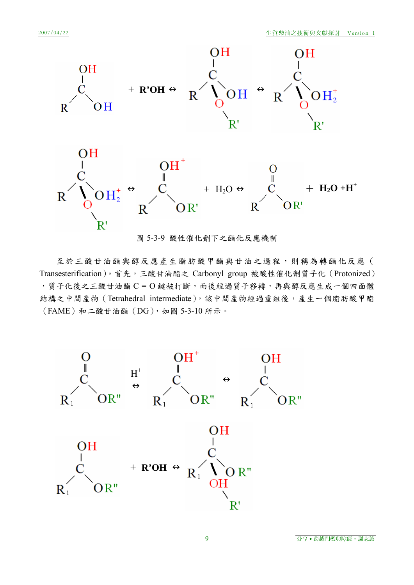

圖 5-3-9 酸性催化劑下之酯化反應機制

至於三酸甘油酯與醇反應產生脂肪酸甲酯與甘油之過程,則稱為轉酯化反應( Transesterification)。首先,三酸甘油酯之 Carbonyl group 被酸性催化劑質子化 (Protonized) ,質子化後之三酸甘油酯 C = O 鍵被打斷,而後經過質子移轉,再與醇反應生成一個四面體 結構之中間産物(Tetrahedral intermediate),該中間産物經過重組後,產生一個脂肪酸甲酯  $(FAME)$ 和二酸甘油酯 $(DG)$ , 如圖 5-3-10 所示。

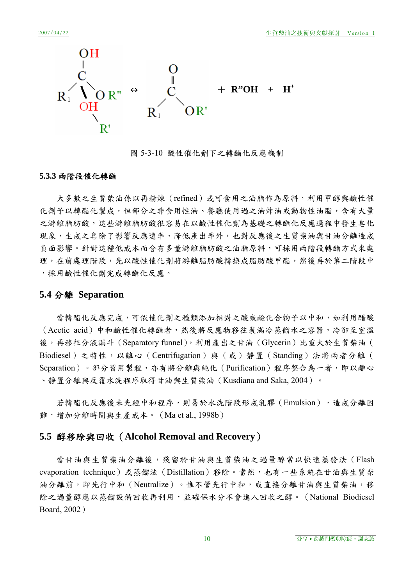

圖 5-3-10 酸性催化劑下之轉酯化反應機制

### **5.3.3** 兩階段催化轉酯

大多數之生質柴油係以再精煉(refined)或可食用之油脂作為原料,利用甲醇與鹼性催 化劑予以轉酯化製成,但部分之非食用性油、餐廳使用過之油炸油或動物性油脂,含有大量 之游離脂肪酸,這些游離脂肪酸很容易在以鹼性催化劑為基礎之轉酯化反應過程中發生皂化 現象,生成之皂除了影響反應速率、降低產出率外,也對反應後之生質柴油與甘油分離造成 負面影響。針對這種低成本而含有多量游離脂肪酸之油脂原料,可採用兩階段轉酯方式來處 理,在前處理階段,先以酸性催化劑將游離脂肪酸轉換成脂肪酸甲酯,然後再於第二階段中 ,採用鹼性催化劑完成轉酯化反應。

### **5.4** 分離 **Separation**

當轉酯化反應宗成,可依催化劑之種類添加相對之酸或鹼化合物予以中和,如利用醋酸 (Acetic acid)中和鹼性催化轉酯者,然後將反應物移往裝滿冷蒸餾水之容器,冷卻至室溫 後,再移往分液漏斗 (Separatory funnel),利用產出之甘油 (Glycerin) 比重大於生質柴油 ( Biodiesel)之特性,以離心(Centrifugation)與(或)靜置(Standing)法將兩者分離( Separation)。部分習用製程,亦有將分離與純化 (Purification)程序整合為一者,即以離心 、靜置分離與反覆水洗程序取得甘油與生質柴油(Kusdiana and Saka, 2004)。

若轉酯化反應後未先經中和程序,則易於水洗階段形成乳膠(Emulsion),造成分離困 難,增加分離時間與生產成本。 (Ma et al., 1998b)

## **5.5** 醇移除與回收(**Alcohol Removal and Recovery**)

當甘油與生質柴油分離後,殘留於甘油與生質柴油之過量醇常以快速蒸發法(Flash evaporation technique)或蒸餾法(Distillation)移除。當然,也有一些系統在甘油與生質柴 油分離前,即先行中和(Neutralize)。惟不管先行中和,或直接分離甘油與生質柴油,移 除之過量醇應以蒸餾設備回收再利用,並確保水分不會進入回收之醇。(National Biodiesel Board, 2002)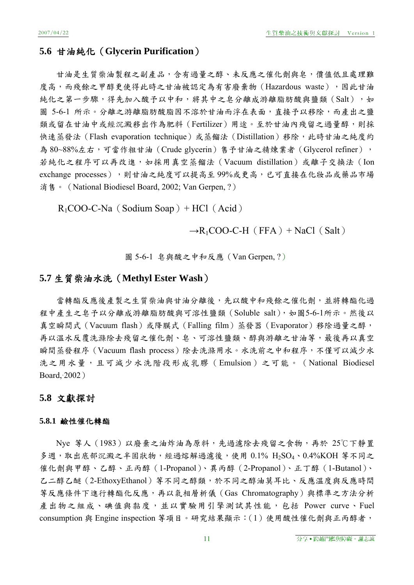### **5.6** 甘油純化(**Glycerin Purification**)

甘油是生質柴油製程之副產品,含有過量之醇、未反應之催化劑與皂,價值低且處理難 度高,而殘餘之甲醇更使得此時之甘油被認定為有害廢棄物(Hazardous waste),因此甘油 純化之第一步驟,得先加入酸予以中和,將其中之皂分離成游離脂肪酸與鹽類(Salt),如 圖 5-6-1 所示。分離之游離脂肪酸脂因不溶於甘油而浮在表面,直接予以移除,而產出之鹽 類或留在甘油中或經沉澱移出作為肥料(Fertilizer)用途。至於甘油內殘留之過量醇,則採 快速蒸發法 (Flash evaporation technique)或蒸餾法 (Distillation) 移除,此時甘油之純度約 為 80~88%左右,可當作粗甘油(Crude glycerin)售予甘油之精煉業者(Glycerol refiner), 若純化之程序可以再改進,如採用真空蒸餾法(Vacuum distillation)或離子交換法(Ion exchange processes),則甘油之純度可以提高至 99%或更高,已可直接在化妝品或藥品市場 消售。 (National Biodiesel Board, 2002; Van Gerpen, ?)

 $R_1COO-C-Na$  (Sodium Soap) + HCl (Acid)

### $\rightarrow R_1$ COO-C-H (FFA) + NaCl (Salt)

圖 5-6-1 皂與酸之中和反應(Van Gerpen, ?)

### **5.7** 生質柴油水洗(**Methyl Ester Wash**)

當轉酯反應後產製之生質柴油與甘油分離後,先以酸中和殘餘之催化劑,並將轉酯化過 程中產生之皂予以分離成游離脂肪酸與可溶性鹽類(Soluble salt),如圖5-6-1所示。然後以 真空瞬間式 (Vacuum flash) 或降膜式 (Falling film) 蒸發器 (Evaporator) 移除過量之醇, 再以溫水反覆洗滌除去殘留之催化劑、皂、可溶性鹽類、醇與游離之甘油等,最後再以真空 瞬間蒸發程序 (Vacuum flash process)除去洗滌用水。水洗前之中和程序,不僅可以減少水 洗之用水量,且可減少水洗階段形成乳膠(Emulsion)之可能。(National Biodiesel Board,·2002)

### **5.8** 文獻探討

#### **5.8.1** 鹼性催化轉酯

Nye 等人(1983)以廢棄之油炸油為原料,先過濾除去殘留之食物,再於 25℃下靜置 多週,取出底部沉澱之半固狀物,經過熔解過濾後,使用 0.1% H<sub>2</sub>SO<sub>4</sub>、0.4%KOH 等不同之 催化劑與甲醇、乙醇、正丙醇(1-Propanol)、異丙醇(2-Propanol)、正丁醇(1-Butanol)、 乙二醇乙醚(2-EthoxyEthanol)等不同之醇類,於不同之醇油莫耳比、反應溫度與反應時間 等反應條件下進行轉酯化反應,再以氣相層析儀(Gas Chromatography)與標準之方法分析 產出物之組成、碘值與黏度,並以實驗用引擎測試其性能,包括 Power curve、Fuel consumption 與 Engine inspection 等項目。研究結果顯示:(1)使用酸性催化劑與正丙醇者,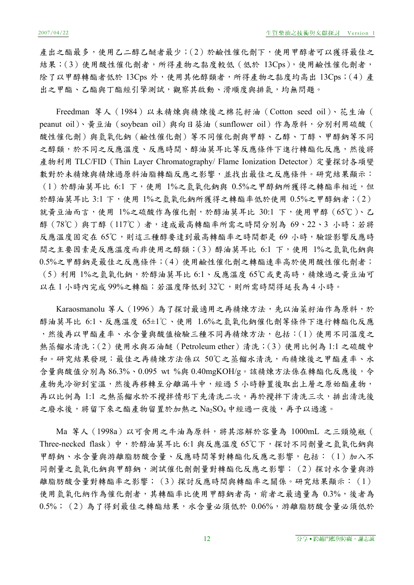產出之酯最多,使用乙二醇乙醚者最少;(2)於鹼性催化劑下,使用甲醇者可以獲得最佳之 結果;(3)使用酸性催化劑者,所得產物之黏度較低(低於 13Cps),使用鹼性催化劑者, 除了以甲醇轉酯者低於 13Cps 外,使用其他醇類者,所得產物之黏度均高出 13Cps;(4)產 出之甲酯、乙酯與丁酯經引擎測試,觀察其啟動、滑順度與排氣,均無問題。

Freedman 等人 (1984) 以未精煉與精煉後之棉花籽油 (Cotton seed oil)、花生油 ( peanut oil)、黃豆油 (soybean oil) 與向日葵油 (sunflower oil) 作為原料, 分別利用硫酸 ( 酸性催化劑)與氫氧化鈉(鹼性催化劑)等不同催化劑與甲醇、乙醇、丁醇、甲醇鈉等不同 之醇類,於不同之反應溫度、反應時間、醇油莫耳比等反應條件下進行轉酯化反應,然後將 產物利用 TLC/FID (Thin Layer Chromatography/ Flame Ionization Detector) 定量探討各項變 數對於未精煉與精煉過原料油脂轉酯反應之影響,並找出最佳之反應條件。研究結果顯示: (1)於醇油莫耳比 6:1 下,使用 1%之氫氧化鈉與 0.5%之甲醇鈉所獲得之轉酯率相近,但 於醇油莫耳比 3:1 下,使用 1%之氫氧化鈉所獲得之轉酯率低於使用 0.5%之甲醇鈉者;(2) 就黃豆油而言,使用 1%之硫酸作為催化劑,於醇油莫耳比 30:1 下,使用甲醇 (65℃)、乙 醇(78℃)與丁醇(117℃)者,達成最高轉酯率所需之時間分別為 69、22、3 小時;若將 反應溫度固定在 65℃,則這三種醇要達到最高轉酯率之時間都是 69 小時,驗證影響反應時 間之主要因素是反應溫度而非使用之醇類;(3)醇油莫耳比 6:1 下,使用 1%之氫氧化鈉與 0.5%之甲醇鈉是最佳之反應條件;(4)使用鹼性催化劑之轉酯速率高於使用酸性催化劑者; (5)利用 1%之氫氧化鈉,於醇油莫耳比 6:1、反應溫度 65℃或更高時,精煉過之黃豆油可 以在1小時內完成99%之轉酯;若溫度降低到32℃,則所需時間得延長為4小時。

Karaosmanolu 等人 (1996)為了探討最適用之再精煉方法,先以油菜籽油作為原料,於 醇油莫耳比 6:1、反應溫度 65±1℃、使用 1.6%之氫氧化鈉催化劑等條件下進行轉酯化反應 ,然後再以甲酯產率、水含量與酸值檢驗三種不同再精煉方法,包括:(1)使用不同溫度之 熱蒸餾水清洗;(2)使用水與石油醚(Petroleum ether)清洗;(3)使用比例為 1:1 之硫酸中 和。研究結果發現:最佳之再精煉方法係以 50℃之蒸餾水清洗,而精煉後之甲酯產率、水 含量與酸值分別為 86.3%、0.095 wt %與 0.40mgKOH/g。該精煉方法係在轉酯化反應後,令 產物先冷卻到室溫,然後再移轉至分離漏斗中,經過 5 小時靜置後取出上層之原始酯產物, 再以比例為 1:1 之熱蒸餾水於不攪拌情形下先清洗二次,再於攪拌下清洗三次,排出清洗後 之廢水後,將留下來之酯產物留置於加熱之 Na2SO4 中經過一夜後,再予以過濾。

Ma 等人(1998a)以可食用之牛油為原料,將其溶解於容量為 1000mL 之三頸燒瓶( Three-necked flask)中,於醇油莫耳比 6:1 與反應溫度 65℃下,探討不同劑量之氫氧化鈉與 甲醇鈉、水含量與游離脂肪酸含量、反應時間等對轉酯化反應之影響,包括: (1) 加入不 同劑量之氫氧化鈉與甲醇鈉,測試催化劑劑量對轉酯化反應之影響;(2)探討水含量與游 離脂肪酸含量對轉酯率之影響;(3)探討反應時間與轉酯率之關係。研究結果顯示:(1) 使用氫氧化納作為催化劑者,其轉酯率比使用甲醇鈉者高,前者之最適量為 0.3%,後者為 0.5%;(2)為了得到最佳之轉酯結果,水含量必須低於 0.06%,游離脂肪酸含量必須低於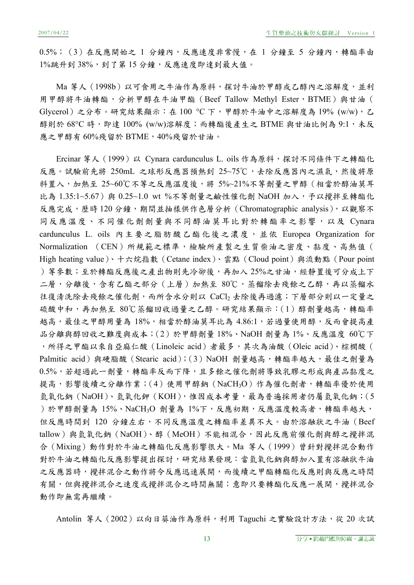0.5%; (3) 在反應開始之 1 分鐘內,反應速度非常慢,在 1 分鐘至 5 分鐘內,轉酯率由 1%跳升到38%,到了第15分鐘,反應速度即達到最大值。

Ma 等人 (1998b) 以可食用之牛油作為原料,探討牛油於甲醇或乙醇內之溶解度,並利 用甲醇將牛油轉酯,分析甲醇在牛油甲酯 (Beef Tallow Methyl Ester, BTME)與甘油 ( Glycerol)之分布。研究結果顯示:在 100 °C 下,甲醇於牛油中之溶解度為 19% (w/w),乙 醇則於  $68^{\circ}$ C 時, 即達  $100\%$  (w/w)溶解度;而轉酯後產生之 BTME 與甘油比例為  $9:1$ , 未反 應之甲醇有 60%殘留於 BTME, 40%殘留於甘油。

Ercinar 等人 (1999) 以 Cynara cardunculus L. oils 作為原料,探討不同條件下之轉酯化 反應。試驗前先將 250mL 之球形反應器預熱到 25~75℃,去除反應器內之濕氣,然後將原 料置入,加熱至 25~60℃不等之反應溫度後,將 5%~21%不等劑量之甲醇 (相當於醇油莫耳 比為 1.35:1~5.67)與 0.25~1.0 wt %不等劑量之鹼性催化劑 NaOH 加入,予以攪拌至轉酯化 反應完成,歷時 120分鐘,期間並抽樣供作色層分析 (Chromatographic analysis),以觀察不 同反應溫度、不同催化劑劑量與不同醇油莫耳比對於轉酯率之影響,以及 Cynara cardunculus L. oils 內主要之脂肪酸乙酯化後之濃度,並依 Europea Organization for Normalization (CEN)所規範之標準,檢驗所產製之生質柴油之密度、黏度、高熱值( High heating value)、十六烷指數(Cetane index)、雲點(Cloud point)與流動點(Pour point )等參數;至於轉酯反應後之產出物則先冷卻後,再加入25%之甘油,經靜置後可分成上下 二層,分離後,含有乙酯之部分(上層)加熱至 80℃,蒸餾除去殘餘之乙醇,再以蒸餾水 往復清洗除去殘餘之催化劑,而所含水分則以 CaCl2 去除後再過濾;下層部分則以一定量之 硫酸中和,再加熱至 80℃蒸餾回收過量之乙醇。研究結果顯示:(1)醇劑量越高,轉酯率 越高,最佳之甲醇用量為18%,相當於醇油莫耳比為4.86:1,若過量使用醇,反而會提高產 品分離與醇回收之難度與成本;(2)於甲醇劑量 18%、NaOH 劑量為 1%、反應溫度 60℃下 ,所得之甲酯以來自亞麻仁酸(Linoleic acid)者最多,其次為油酸(Oleic acid)、棕櫚酸( Palmitic acid)與硬脂酸 (Stearic acid);(3) NaOH 劑量越高,轉酯率越大,最佳之劑量為 0.5%,若超過此一劑量,轉酯率反而下降,且多餘之催化劑將導致乳膠之形成與產品黏度之 提高,影響後續之分離作業;(4)使用甲醇鈉 (NaCH3O)作為催化劑者,轉酯率優於使用 氫氧化鈉 (NaOH)、氫氧化鉀 (KOH),惟因成本考量,最為普遍採用者仍屬氫氧化鈉;(5 )於甲醇劑量為 15%、NaCH3O 劑量為 1%下,反應初期,反應溫度較高者,轉酯率越大, 但反應時間到 120 分鐘左右,不同反應溫度之轉酯率差異不大。由於溶融狀之牛油 (Beef tallow)與氫氧化鈉(NaOH)、醇(MeOH)不能相混合,因此反應前催化劑與醇之攪拌混 合(Mixing)動作對於牛油之轉酯化反應影響很大。Ma 等人(1999)曾針對攪拌混合動作 對於牛油之轉酯化反應影響提出探討,研究結果發現:當氫氧化鈉與醇加入置有溶融狀牛油 之反應器時,攪拌混合之動作將令反應迅速展開,而後續之甲酯轉酯化反應則與反應之時間 有關,但與攪拌混合之獲拌混合之時間無關;意即只要轉酯化反應一展開,攪拌混合 動作即無需再繼續。

Antolin 等人 (2002) 以向日葵油作為原料,利用 Taguchi 之實驗設計方法,從 20 次試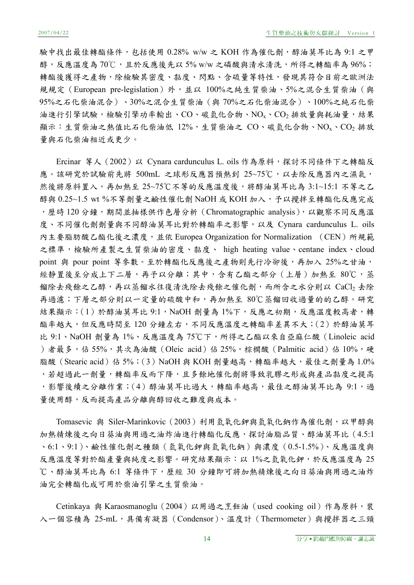驗中找出最佳轉酯條件,包括使用 0.28% w/w 之 KOH 作為催化劑,醇油莫耳比為 9:1 之甲 醇,反應溫度為70℃,且於反應後先以5% w/w 之磷酸與清水清洗,所得之轉酯率為96%; 轉酯後獲得之產物,除檢驗其密度、黏度、閃點、含硫量等特性,發現其符合目前之歐洲法 規規定 (European pre-legislation)外,並以 100%之純生質柴油、5%之混合生質柴油 (與 95%之石化柴油混合)、30%之混合生質柴油(與 70%之石化柴油混合)、100%之純石化柴 油進行引擎試驗,檢驗引擎功率輸出、CO、碳氫化合物、NO<sub>x</sub>、CO<sub>2</sub>排放量與耗油量,結果 顯示:生質柴油之熱值比石化柴油低 12%,生質柴油之 CO、碳氫化合物、NOx、CO2 排放 量與石化柴油相近或更少。

Ercinar 等人 (2002) 以 Cynara cardunculus L. oils 作為原料,探討不同條件下之轉酯反 應。該研究於試驗前先將 500mL 之球形反應器預熱到 25~75℃,以去除反應器內之濕氣, 然後將原料置入,再加熱至 25~75℃不等的反應溫度後,將醇油莫耳比為 3:1~15:1 不等之乙 醇與 0.25~1.5 wt %不等劑量之鹼性催化劑 NaOH 或 KOH 加入,予以攪拌至轉酯化反應完成 ,歷時120分鐘,期間並抽樣供作色層分析 (Chromatographic analysis),以觀察不同反應溫 度、不同催化劑劑量與不同醇油莫耳比對於轉酯率之影響,以及 Cynara cardunculus L. oils 內主要脂肪酸乙酯化後之濃度,並依 Europea Organization for Normalization (CEN)所規範 之標準,檢驗所產製之生質柴油的密度、黏度、 high heating value、centane index、cloud point 與 pour point 等參數。至於轉酯化反應後之產物則先行冷卻後,再加入 25%之甘油, 經靜置後至分成上下二層,再予以分離;其中,含有乙酯之部分(上層)加熱至 80℃,蒸 餾除去殘餘之乙醇,再以蒸餾水往復清洗除去殘餘之催化劑,而所含之水分則以 CaCl2 去除 再過濾;下層之部分則以一定量的硫酸中和,再加熱至 80℃蒸餾回收過量的的乙醇。研究 結果顯示: (1)於醇油莫耳比 9:1,NaOH 劑量為 1%下,反應之初期,反應溫度較高者,轉 酯率越大,但反應時間至120分鐘左右,不同反應溫度之轉酯率差異不大;(2)於醇油莫耳 比 9:1、NaOH 劑量為 1%、反應溫度為 75℃下,所得之乙酯以來自亞麻仁酸(Linoleic acid )者最多,佔 55%,其次為油酸(Oleic acid)佔 25%,棕櫚酸(Palmitic acid)佔 10%,硬 脂酸 (Stearic acid) 佔 5%; (3) NaOH 與 KOH 劑量越高,轉酯率越大,最佳之劑量為 1.0% ,若超過此一劑量,轉酯率反而下降,且多餘地催化劑將導致乳膠之形成與產品黏度之提高 ,影響後續之分離作業;(4)醇油莫耳比過大,轉酯率越高,最佳之醇油莫耳比為 9:1,過 量使用醇,反而提高產品分離與醇回收之難度與成本。

Tomasevic 與 Siler-Marinkovic (2003) 利用氫氧化鉀與氫氧化鈉作為催化劑, 以甲醇與 加熱精煉後之向日葵油與用過之油炸油進行轉酯化反應,探討油脂品質、醇油莫耳比(4.5:1 、6:1、9:1)、鹼性催化劑之種類(氫氧化鉀與氫氧化鈉)與濃度(0.5-1.5%)、反應溫度與 反應溫度等對於酯產量與純度之影響。研究結果顯示:以 1%之氫氧化鉀,於反應溫度為 25 ℃、醇油莫耳比為 6:1 等條件下,歷經 30 分鐘即可將加熱精煉後之向日葵油與用過之油炸 油完全轉酯化成可用於柴油引擎之生質柴油。

Cetinkaya 與 Karaosmanoglu (2004) 以用過之烹飪油 (used cooking oil) 作為原料, 裝 入一個容積為 25-mL,具備有凝器 (Condensor)、溫度計 (Thermometer) 與攪拌器之三頸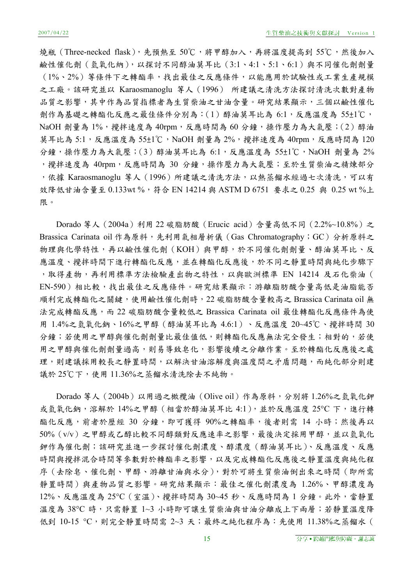燒瓶(Three-necked flask),先預熱至 50℃,將甲醇加入,再將溫度提高到 55℃,然後加入 鹼性催化劑(氫氧化納),以探討不同醇油莫耳比(3:1、4:1、5:1、6:1)與不同催化劑劑量 (1%、2%)等條件下之轉酯率,找出最佳之反應條件,以能應用於試驗性或工業生產規模 之工廠。該研究並以 Karaosmanoglu 等人(1996) 所建議之清洗方法探討清洗次數對產物 品質之影響,其中作為品質指標者為生質柴油之甘油含量。研究結果顯示,三個以鹼性催化 劑作為基礎之轉酯化反應之最佳條件分別為:(1)醇油莫耳比為 6:1,反應溫度為 55±1℃, NaOH 劑量為 1%, 攪拌速度為 40rpm, 反應時間為 60 分鐘, 操作壓力為大氣壓; (2) 醇油 莫耳比為 5:1,反應溫度為 55±1℃,NaOH 劑量為 2%,攪拌速度為 40rpm,反應時間為 120 分鐘,操作壓力為大氣壓;(3)醇油莫耳比為 6:1,反應溫度為 55±1℃,NaOH 劑量為 2% ,攪拌速度為 40rpm,反應時間為 30 分鐘,操作壓力為大氣壓;至於生質柴油之精煉部分 ,依據 Karaosmanoglu 等人(1996)所建議之清洗方法,以熱蒸餾水經過七次清洗,可以有 效降低甘油含量至 0.133wt %,符合 EN 14214 與 ASTM D 6751 要求之 0.25 與 0.25 wt %上 限。

Dorado 等人(2004a)利用 22 碳脂肪酸(Erucic acid)含量高低不同(2.2%~10.8%)之 Brassica Carinata oil 作為原料,先利用氣相層析儀 (Gas Chromatography; GC) 分析原料之 物理與化學特性,再以鹼性催化劑(KOH)與甲醇,於不同催化劑劑量、醇油莫耳比、反 應溫度、攪拌時間下進行轉酯化反應的化反應後,於不同之靜置時間與純化步驟下 , 取得產物, 再利用標準方法檢驗產出物之特性, 以與歐洲標準 EN 14214 及石化柴油 ( EN-590)相比較,找出最佳之反應條件。研究結果顯示:游離脂肪酸含量高低是油脂能否 順利完成轉酯化之關鍵,使用鹼性催化劑時,22 碳脂肪酸含量較高之 Brassica Carinata oil 無 法完成轉酯反應,而 22 碳脂肪酸含量較低之 Brassica Carinata oil 最佳轉酯化反應條件為使 用 1.4%之氫氧化鈉、16%之甲醇(醇油莫耳比為 4.6:1)、反應溫度 20~45℃、攪拌時間 30 分鐘;若使用之甲醇與催化劑劑量比最佳值低,則轉酯化反應無法完全發生;相對的,若使 用之甲醇與催化劑劑量過高,則易導致皂化,影響後續之分離作業。至於轉酯化反應後之處 理,則建議採用較長之靜置時間,以解決甘油溶解度與溫度間之矛盾問題,而純化部分則建 議於 25℃下,使用 11.36%之蒸餾水清洗除去不純物。

Dorado 等人(2004b)以用過之橄欖油(Olive oil)作為原料,分別將 1.26%之氫氧化鉀 或氫氧化鈉,溶解於 14%之甲醇 (相當於醇油莫耳比 4:1),並於反應溫度 25℃ 下,進行轉 酯化反應,前者於歷經 30 分鐘,即可獲得 90%之轉酯率,後者則需 14 小時;然後再以 50%(v/v)之甲醇或乙醇比較不同醇類對反應速率之影響,最後決定採用甲醇,並以氫氧化 鉀作為催化劑;該研究並進一步探討催化劑濃度、醇濃度(醇油莫耳比)、反應溫度、反應 時間與攪拌混合時間等參數對於轉酯率之影響,以及完成轉酯化反應後之靜置溫度與純化程 序(去除皂、催化劑、甲醇、游離甘油與水分),對於可將生質柴油倒出來之時間(即所需 靜置時間)與產物品質之影響。研究結果顯示:最佳之催化劑濃度為 1.26%、甲醇濃度為 12%、反應溫度為 25°C(室溫)、攪拌時間為 30~45 秒、反應時間為 1 分鐘。此外,當靜置 溫度為 38°C 時,只需靜置 1~3 小時即可讓生質柴油與甘油分離成上下兩層;若靜置溫度降 低到 10-15 ℃,則完全靜置時間需 2~3 天;最終之純化程序為:先使用 11.38%之蒸餾水 (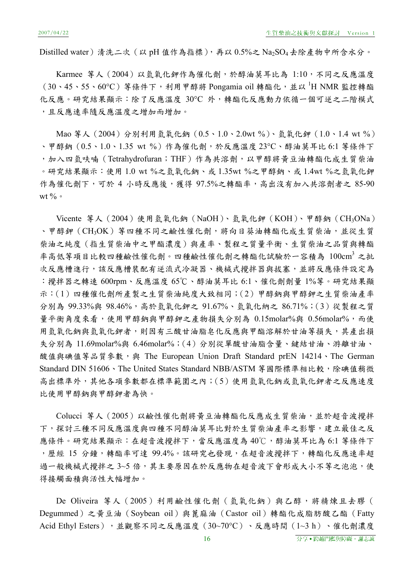Distilled water)清洗二次 (以 pH 值作為指標),再以  $0.5\%$ 之 Na<sub>2</sub>SO<sub>4</sub> 去除產物中所含水分。

Karmee 等人 (2004) 以氫氧化鉀作為催化劑,於醇油莫耳比為 1:10,不同之反應溫度 (30、45、55、60℃)等條件下,利用甲醇將 Pongamia oil 轉酯化,並以 H NMR 監控轉酯 化反應。研究結果顯示:除了反應溫度 30°C 外,轉酯化反應動力依循一個可逆之二階模式 ,且反應速率隨反應溫度之增加而增加。

Mao 等人(2004)分別利用氫氧化鈉(0.5、1.0、2.0wt %)、氫氧化鉀(1.0、1.4 wt %) 、甲醇鈉 (0.5、1.0、1.35 wt %)作為催化劑,於反應溫度 23℃、醇油莫耳比 6:1 等條件下 ,加入四氫呋喃(Tetrahydrofuran;THF)作為共溶劑,以甲醇將黃豆油轉酯化成生質柴油 。研究結果顯示:使用 1.0 wt %之氫氧化鈉、或 1.35wt %之甲醇鈉、或 1.4wt %之氫氧化鉀 作為催化劑下,可於 4 小時反應後,獲得 97.5%之轉酯率,高出沒有加入共溶劑者之 85-90 wt  $\%$   $\circ$ 

Vicente 等人(2004)使用氫氧化鈉(NaOH)、氫氧化鉀(KOH)、甲醇鈉(CH3ONa) 、甲醇鉀(CH3OK)等四種不同之鹼性催化劑,將向日葵油轉酯化成生質柴油,並從生質 柴油之純度(指生質柴油中之甲酯濃度)與產率、製程之質量平衡、生質柴油之品質與轉酯 率高低等項目比較四種鹼性催化劑。四種鹼性催化劑之轉酯化試驗於一容積為 100cm<sup>3</sup> 之批 次反應槽進行,該反應槽裝配有逆流式冷凝器、機械式攪拌器與拔塞,並將反應條件設定為 :攪拌器之轉速 600rpm、反應溫度 65℃、醇油莫耳比 6:1、催化劑劑量 1%等。研究結果顯 示:(1)四種催化劑所產製之生質柴油純度大致相同;(2)甲醇鈉與甲醇鉀之生質柴油產率 分別為 99.33%與 98.46%,高於氫氧化鉀之 91.67%、氫氧化納之 86.71%;(3)從製程之質 量平衡角度來看,使用甲醇鈉與甲醇鉀之產物損失分別為 0.15molar%與 0.56molar%,而使 用氫氧化鈉與氫氧化則因有三酸甘油脂皂化反應與甲酯溶解於甘油等損失,其產出損 失分別為 11.69molar%與 6.46molar%;(4)分別從單酸甘油脂含量、鍵結甘油、游離甘油、 酸值與碘值等品質參數,與 The European Union Draft Standard prEN 14214、The German Standard DIN 51606、The United States Standard NBB/ASTM 等國際標準相比較,除碘值稍微 高出標準外,其他各項參數都在標準範圍之內;(5)使用氫氧化鈉或氫氧化鉀者之反應速度 比使用甲醇鈉與甲醇鉀者為快。

Colucci 等人(2005)以鹼性催化劑將黃豆油轉酯化反應成生質柴油,並於超音波攪拌 下,探討三種不同反應溫度與四種不同醇油莫耳比對於生質柴油產率之影響,建立最佳之反 應條件。研究結果顯示:在超音波攪拌下,當反應溫度為40℃,醇油莫耳比為 6:1 等條件下 ,歷經 15 分鐘,轉酯率可達 99.4%。該研究也發現,在超音波攪拌下,轉酯化反應速率超 過一般機械式攪拌之 3~5 倍,其主要原因在於反應物在超音波下會形成大小不等之泡泡,使 得接觸面積與活性大幅增加。

De Oliveira 等人 (2005) 利用鹼性催化劑 (氫氧化鈉) 與乙醇, 將精煉且去膠 ( Degummed)之黃豆油(Soybean oil)與蓖麻油(Castor oil)轉酯化成脂肪酸乙酯(Fatty Acid Ethyl Esters),並觀察不同之反應溫度(30~70°C)、反應時間(1~3 h)、催化劑濃度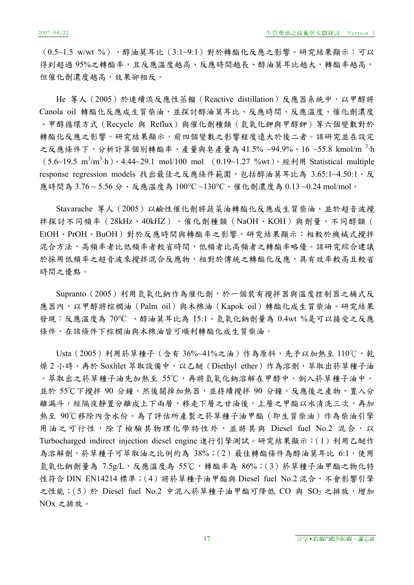(0.5~1.5 w/wt %)、醇油莫耳比(3:1~9:1)對於轉酯化反應之影響。研究結果顯示:可以 得到超過95%之轉酯率,且反應溫度越高、反應時間越長、醇油莫耳比越大,轉酯率越高, 但催化劑濃度越高,效果卻相反。

He 等人(2005)於連續流反應性蒸餾(Reactive distillation)反應器系統中,以甲醇將 Canola oil 轉酯化反應成生質柴油,並探討醇油莫耳比、反應時間、反應溫度、催化劑濃度 、甲醇循環方式(Recycle 與 Reflux)與催化劑種類(氫氧化鉀與甲醇鉀)等六個變數對於 轉酯化反應之影響。研究結果顯示,前四個變數之影響程度遠大於後二者。該研究並在設定 之反應條件下,分析計算個別轉酯率、產量與皂產量為41.5%~94.9%、16~55.8 kmol/m  $^3$ ·h  $(5.6~19.5~m^3/m^3 \cdot h) \cdot 4.44~29.1~ mol/100~mol$  (0.19~1.27 %wt), 經利用 Statistical multiple response regression models 找出最佳之反應條件範圍,包括醇油莫耳比為 3.65:1~4.50:1、反 應時間為 3.76 ~ 5.56 分、反應溫度為 100°C ~130°C、催化劑濃度為 0.13 ~0.24 mol/mol。

Stavarache 等人 (2005) 以鹼性催化劑將蔬菜油轉酯化反應成生質柴油,並於超音波攪 拌探討不同頻率(28kHz、40kHZ)、催化劑種類(NaOH、KOH)與劑量、不同醇類( EtOH、PrOH、BuOH)對於反應時間與轉酯率之影響。研究結果顯示:相較於機械式攪拌 混合方法,高頻率者比低頻率者較省時間,低頻者比高頻者之轉酯率略優。該研究綜合建議 於採用低頻率之超音波來攪拌混合反應物,相對於傳統之轉酯化反應,具有效率較高且較省 時間之優點。

Supranto (2005) 利用氫氧化鈉作為催化劑,於一個裝有攪拌器與溫度控制器之桶式反 應器內,以甲醇將棕櫚油 (Palm oil)與木棉油 (Kapok oil)轉酯化成生質柴油。研究結果 發現:反應溫度為 70°C 、醇油莫耳比為 15:1、氫氧化鈉劑量為 0.4wt %是可以接受之反應 條件,在該條件下棕櫚油與木棉油皆可順利轉酯化成生質柴油。

Usta (2005) 利用菸草種子 (含有 36%~41%之油) 作為原料, 先予以加熱至 110℃, 乾 燥 2 小時,再於 Soxhlet 萃取設備中,以乙醚(Diethyl ether)作為溶劑,萃取出菸草種子油 。萃取出之菸草種子油先加熱至 55℃,再將氫氧化鈉溶解在甲醇中,倒入菸草種子油中, 並於 55℃下攪拌 90 分鐘,然後關掉加熱器,並持續攪拌 90 分鐘。反應後之產物,置入分 離漏斗,經隔夜靜置分離成上下兩層,移走下層之甘油後,上層之甲酯以水清洗三次,再加 熱至 90℃移除內含水份。為了評估所產製之菸草種子油甲酯(即生質柴油)作為柴油引擎 用油之可行性,除了檢驗其物理化學特性外,並將其與 Diesel fuel No.2 混合,以 Turbocharged indirect injection diesel engine 進行引擎測試。研究結果顯示: (1) 利用乙醚作 為溶解劑,菸草種子可萃取油之比例約為 38%;(2)最佳轉酯條件為醇油莫耳比 6:1,使用 </del>氧氧化鈉劑量為 7.5g/L,反應溫度為 55℃,轉酯率為 86%;(3) 菸草種子油甲酯之物化特 性符合 DIN EN14214 標準; (4) 將菸草種子油甲酯與 Diesel fuel No.2 混合,不會影響引擎 之性能;(5)於 Diesel fuel No.2 中混入菸草種子油甲酯可降低 CO 與 SO<sub>2</sub> 之排放,增加 NOx 之排放。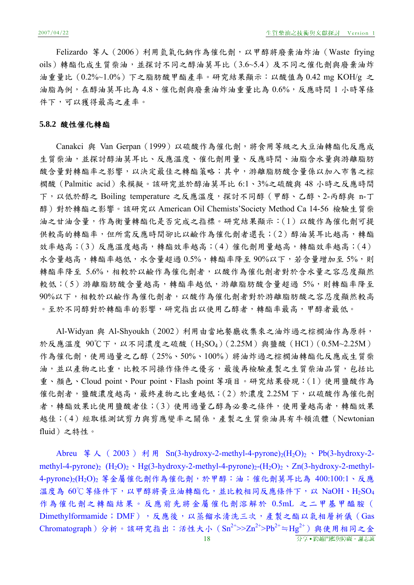Felizardo 等人 (2006) 利用氫氧化鈉作為催化劑, 以甲醇將廢棄油炸油 (Waste frying oils)轉酯化成生質柴油,並探討不同之醇油莫耳比(3.6~5.4)及不同之催化劑與廢棄油炸 油重量比(0.2%~1.0%)下之脂肪酸甲酯產率。研究結果顯示:以酸值為 0.42 mg KOH/g 之 油脂為例,在醇油莫耳比為 4.8、催化劑與廢棄油炸油重量比為 0.6%,反應時間 1 小時等條 件下,可以獲得最高之產率。

#### **5.8.2** 酸性催化轉酯

Canakci 與 Van Gerpan (1999) 以硫酸作為催化劑,將食用等級之大豆油轉酯化反應成 生質柴油,並探討醇油莫耳比、反應溫度、催化劑用量、反應時間、油脂含水量與游離脂肪 酸含量對轉酯率之影響,以決定最佳之轉酯策略;其中,游離脂肪酸含量係以加入市售之棕 櫚酸(Palmitic acid)來模擬。該研究並於醇油莫耳比 6:1、3%之硫酸與 48 小時之反應時間 下,以低於醇之 Boiling temperature 之反應溫度,探討不同醇(甲醇、乙醇、2-丙醇與 n-丁 醇)對於轉酯之影響。該研究以 American Oil Chemists'Society Method Ca 14-56 檢驗生質柴 油之甘油含量,作為衡量轉酯化是否完成之指標。研究結果顯示:(1)以酸作為催化劑可提 供較高的轉酯率,但所需反應時間卻比以鹼作為催化劑者還長;(2)醇油莫耳比越高,轉酯 效率越高;(3)反應溫度越高,轉酯效率越高;(4)催化劑用量越高,轉酯效率越高;(4) 水含量越高,轉酯率越低,水含量超過 0.5%,轉酯率降至 90%以下,若含量增加至 5%,則 轉酯率降至 5.6%,相較於以鹼作為催化劑者,以酸作為催化劑者對於含水量之容忍度顯然 較低;(5)游離脂肪酸含量越高,轉酯率越低,游離脂肪酸含量超過 5%,則轉酯率降至 90%以下,相較於以鹼作為催化劑者將於消離脂肪酸之容忍度顯然較高 。至於不同醇對於轉酯率的影響,研究指出以使用乙醇者,轉酯率最高,甲醇者最低。

Al-Widyan 與 Al-Shyoukh (2002) 利用由當地餐廳收集來之油炸過之棕櫚油作為原料, 於反應溫度 90℃下,以不同濃度之硫酸(H<sub>2</sub>SO<sub>4</sub>)(2.25M) 與鹽酸 (HCl)(0.5M~2.25M) 作為催化劑,使用過量之乙醇(25%、50%、100%)將油炸過之棕櫚油轉酯化反應成生質柴 油,並以產物之比重,比較不同操作條件之優劣,最後再檢驗產製之生質柴油品質,包括比 重、顏色、Cloud point、Pour point、Flash point 等項目。研究結果發現:(1)使用鹽酸作為 催化劑者,鹽酸濃度越高,最終產物之比重越低;(2)於濃度 2.25M 下,以硫酸作為催化劑 者,轉酯效果比使用鹽酸者佳;(3)使用過量乙醇為必要之條件,使用量越高者,轉酯效果 越佳;(4)經取樣測試剪力與剪應變率之關係,產製之生質柴油具有牛頓流體(Newtonian fluid)之特性。

18 分享․跨越門檻與障礙。謝志誠 Abreu 等人 ( 2003 ) 利用 Sn(3-hydroxy-2-methyl-4-pyrone)<sub>2</sub>(H<sub>2</sub>O)<sub>2</sub> 、 Pb(3-hydroxy-2methyl-4-pyrone)<sub>2</sub> (H<sub>2</sub>O)<sub>2</sub> · Hg(3-hydroxy-2-methyl-4-pyrone)<sub>2</sub>-(H<sub>2</sub>O)<sub>2</sub> · Zn(3-hydroxy-2-methyl-4-pyrone)<sub>2</sub>(H<sub>2</sub>O)<sub>2</sub> 等金屬催化劑作為催化劑,於甲醇:油:催化劑莫耳比為 400:100:1、反應 溫度為 60℃等條件下,以甲醇將黃豆油轉酯化,並比較相同反應條件下,以 NaOH、H<sub>2</sub>SO<sub>4</sub> 作為催化劑之轉酯結果。反應前先將金屬催化劑溶解於 0.5mL 之二甲基甲醯胺( Dimethylformamide; DMF), 反應後, 以蒸餾水清洗三次, 產製之酯以氣相層析儀(Gas  $Chromatography)分析。該研究指出:活性大小  $(Sn^{2+}>>Zn^{2+}>\text{Pb}^{2+}=\text{Hg}^{2+})$ 與使用相同之金$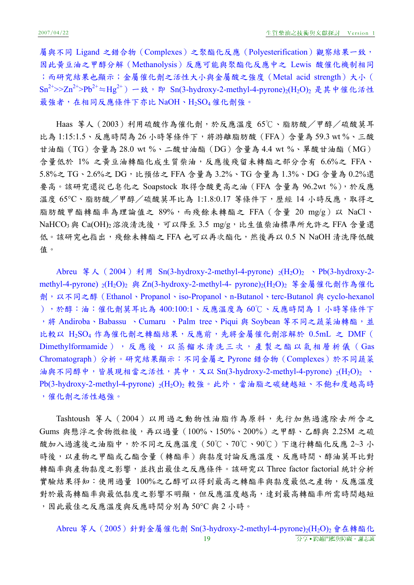屬與不同 Ligand 之錯合物(Complexes)之聚酯化反應(Polyesterification)觀察結果一致, 因此黃豆油之甲醇分解(Methanolysis)反應可能與聚酯化反應中之 Lewis 酸催化機制相同 ;而研究結果也顯示;金屬催化劑之活性大小與金屬酸之強度(Metal acid strength)大小(  $Sn^{2+}>>Zn^{2+}>}Pb^{2+}$  ≒Hg<sup>2+</sup>) 一致, 即 Sn(3-hydroxy-2-methyl-4-pyrone)<sub>2</sub>(H<sub>2</sub>O)<sub>2</sub> 是其中催化活性 最強者,在相同反應條件下亦比 NaOH、H<sub>2</sub>SO<sub>4</sub> 催化劑強。

Haas 等人(2003)利用硫酸作為催化劑,於反應溫度 65℃、脂肪酸/甲醇/硫酸莫耳 比為 1:15:1.5、反應時間為 26 小時等條件下,將游離脂肪酸 (FFA)含量為 59.3 wt%、三酸 甘油酯(TG)含量為 28.0 wt %、二酸甘油酯(DG)含量為 4.4 wt %、單酸甘油酯(MG) 含量低於 1% 之黃豆油轉酯化成生質柴油,反應後殘留未轉酯之部分含有 6.6%之 FFA、 5.8%之 TG、2.6%之 DG,比預估之 FFA 含量為 3.2%、TG 含量為 1.3%、DG 含量為 0.2%還 要高。該研究還從已皂化之 Soapstock 取得含酸更高之油(FFA 含量為 96.2wt %),於反應 溫度 65°C、脂肪酸/甲醇/硫酸莫耳比為 1:1.8:0.17 等條件下,歷經 14 小時反應,取得之 脂肪酸甲酯轉酯率為理論值之 89%,而殘餘未轉酯之 FFA (含量 20 mg/g) 以 NaCl、  $NaHCO<sub>3</sub>$ 與  $Ca(OH)<sub>2</sub>$ 溶液清洗後,可以降至 3.5 mg/g,比生值柴油標準所允許之 FFA 含量還 低。該研究也指出,殘餘未轉酯之 FFA 也可以再次酯化,然後再以 0.5 N NaOH 清洗降低酸 值。

Abreu 等人 (2004) 利用 Sn(3-hydroxy-2-methyl-4-pyrone)  $_2(H_2O)_2 \rightarrow Pb(3-hydroxy-2$ methyl-4-pyrone) <sub>2</sub>(H<sub>2</sub>O)<sub>2</sub> 與 Zn(3-hydroxy-2-methyl-4- pyrone)<sub>2</sub>(H<sub>2</sub>O)<sub>2</sub> 等金屬催化劑作為催化 劑,以不同之醇(Ethanol、Propanol、iso-Propanol、n-Butanol、terc-Butanol 與 cyclo-hexanol ),於醇:油:催化劑莫耳比為 400:100:1、反應溫度為 60℃、反應時間為 1 小時等條件下 ,將 Andiroba、Babassu 、Cumaru 、Palm tree、Piqui 與 Soybean 等不同之蔬菜油轉酯,並 比較以 H2SO4 作為催化劑之轉酯結果,反應前,先將金屬催化劑溶解於 0.5mL 之 DMF ( Dimethylformamide),反應後,以蒸餾水清洗三次,產製之酯以氣相層析儀(Gas Chromatograph)分析。研究結果顯示:不同金屬之 Pyrone 錯合物(Complexes)於不同蔬菜 油與不同醇中,皆展現相當之活性,其中,又以 Sn(3-hydroxy-2-methyl-4-pyrone)  $_2(H_2O)_2$  $Pb(3-hydroxy-2-methyl-4-pyrone)$   $_2(H_2O)_2$  較強。此外,當油脂之碳鏈越短、不飽和度越高時 ,催化劑之活性越強。

Tashtoush 等人(2004)以用過之動物性油脂作為原料,先行加熱過濾除去所含之 Gums 與懸浮之食物微粒後,再以過量(100%、150%、200%)之甲醇、乙醇與 2.25M 之硫 酸加入過濾後之油脂中,於不同之反應溫度(50℃、70℃、90℃)下進行轉酯化反應 2~3 小 時後,以產物之甲酯或乙酯含量(轉酯率)與黏度討論反應溫度、反應時間、醇油莫耳比對 轉酯率與產物黏度之影響,並找出最佳之反應條件。該研究以 Three factor factorial 統計分析 實驗結果得知:使用過量 100%之乙醇可以得到最高之轉酯率與黏度最低之產物,反應溫度 對於最高轉酯率與最低黏度之影響不明顯,但反應溫度越高,達到最高轉酯率所需時間越短 ,因此最佳之反應溫度與反應時間分別為 50°C 與 2 小時。

19 わり おおおおおおおおおおおおおお 分享 ● 跨越門檻與障礙。謝志誠 Abreu 等人 (2005) 針對金屬催化劑 Sn(3-hydroxy-2-methyl-4-pyrone)<sub>2</sub>(H<sub>2</sub>O)<sub>2</sub> 會在轉酯化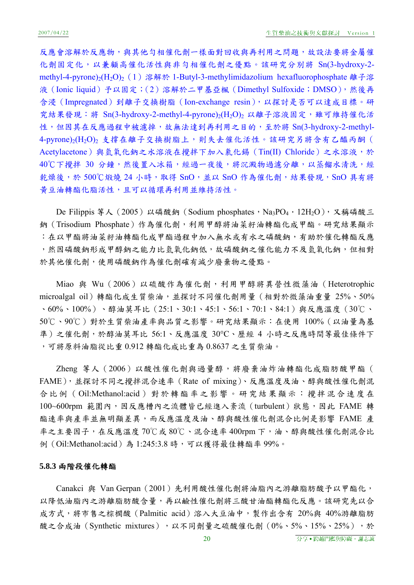反應會溶解於反應物,與其他勻相催化劑一樣面對回收與再利用之問題,故設法要將金屬催 化劑固定化,以兼顧高催化活性與非勻相催化劑之優點。該研究分別將 Sn(3-hydroxy-2 methyl-4-pyrone)<sub>2</sub>(H<sub>2</sub>O)<sub>2</sub> (1) 溶解於 1-Butyl-3-methylimidazolium hexafluorophosphate 離子溶 液(Ionic liquid)予以固定;(2)溶解於二甲基亞楓(Dimethyl Sulfoxide;DMSO),然後再 含浸(Impregnated)到離子交換樹脂(Ion-exchange resin),以探討是否可以達成目標。研 究結果發現:將 Sn(3-hydroxy-2-methyl-4-pyrone)<sub>2</sub>(H<sub>2</sub>O)<sub>2</sub> 以離子溶液固定,雖可維持催化活 性,但因其在反應過程中被濾掉,故無法達到再利用之目的,至於將 Sn(3-hydroxy-2-methyl-4-pyrone)<sub>2</sub>(H<sub>2</sub>O)<sub>2</sub> 支撐在離子交換樹脂上,則失去催化活性。該研究另將含有乙醯丙酮( Acetylacetone)與氫氧化鈉之水溶液在攪拌下加入氯化錫 (Tin(II) Chloride) 之水溶液,於 40℃下攪拌 30 分鐘,然後置入冰箱,經過一夜後,將沉澱物過濾分離,以蒸餾水清洗,經 乾燥後,於 500℃煅燒 24 小時,取得 SnO,並以 SnO 作為催化劑,結果發現, SnO 具有將 黃豆油轉酯化脂活性,且可以循環再利用並維持活性。

De Filippis 等人 (2005) 以磷酸鈉 (Sodium phosphates, Na<sub>3</sub>PO<sub>4</sub> · 12H<sub>2</sub>O), 又稱磷酸三 鈉(Trisodium Phosphate)作為催化劑,利用甲醇將油菜籽油轉酯化成甲酯。研究結果顯示 :在以甲酯將油菜籽油轉酯化成甲酯過程中加入無水或有水之磷酸鈉,有助於催化轉酯反應 ,然因磷酸鈉形成甲醇鈉之能力比氫氧化鈉低,故磷酸鈉之催化能力不及氫氧化鈉,但相對 於其他催化劑,使用磷酸鈉作為催化劑確有減少廢棄物之優點。

Miao 與 Wu (2006) 以硫酸作為催化劑,利用甲醇將異營性微藻油 (Heterotrophic microalgal oil)轉酯化成生質柴油,並探討不同催化劑用量(相對於微藻油重量 25%、50% 、60%、100%)、醇油莫耳比(25:1、30:1、45:1、56:1、70:1、84:1)與反應溫度(30℃、 50℃、90℃)對於生質柴油產率與品質之影響。研究結果顯示:在使用 100%(以油量為基 準)之催化劑,於醇油莫耳比 56:1、反應溫度 30℃、歷經 4 小時之反應時間等最佳條件下 ,可將原料油脂從比重 0.912 轉酯化成比重為 0.8637 之生質柴油。

Zheng 等人(2006)以酸性催化劑與過量醇,將廢棄油炸油轉酯化成脂肪酸甲酯( FAME),並探討不同之攪拌混合速率(Rate of mixing)、反應溫度及油、醇與酸性催化劑混 合比例( Oil:Methanol:acid )對於轉酯率之影響。研究結果顯示:攪拌混合速度在 100~600rpm 範圍內,因反應槽內之流體皆已經進入紊流 (turbulent) 狀態,因此 FAME 轉 酯速率與產率並無明顯差異,而反應溫度及油、醇與酸性催化劑混合比例是影響 FAME 產 率之主要因子,在反應溫度 70℃或 80℃、混合速率 400rpm 下,油、醇與酸性催化劑混合比 例(Oil:Methanol:acid)為 1:245:3.8 時,可以獲得最佳轉酯率 99%。

#### **5.8.3** 兩階段催化轉酯

Canakci 與 Van Gerpan (2001)先利用酸性催化劑將油脂內之游離脂肪酸予以甲酯化, 以降低油脂內之游離脂肪酸含量,再以鹼性催化劑將三酸甘油酯轉酯化反應。該研究先以合 成方式,將市售之棕櫚酸(Palmitic acid)溶入大豆油中,製作出含有 20%與 40%游離脂肪 酸之合成油 (Synthetic mixtures), 以不同劑量之硫酸催化劑  $(0\% \cdot 5\% \cdot 15\% \cdot 25\%)$ , 於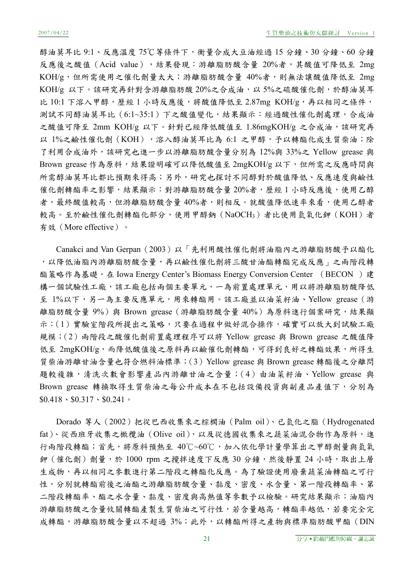醇油莫耳比 9:1、反應溫度 75℃等條件下,衡量合成大豆油經過 15 分鐘、30 分鐘、60 分鐘 反應後之酸值 (Acid value),結果發現:游離脂肪酸含量 20%者,其酸值可降低至 2mg KOH/g,但所需使用之催化劑量太大;游離脂肪酸含量 40%者,則無法讓酸值降低至 2mg KOH/g 以下。該研究再針對含游離脂肪酸 20%之合成油,以 5%之硫酸催化劑,於醇油莫耳 比 10:1 下溶入甲醇,歷經 1 小時反應後,將酸值降低至 2.87mg KOH/g,再以相同之條件, 測試不同醇油莫耳比(6:1~35:1)下之酸值變化,結果顯示:經過酸性催化劑處理,合成油 之酸值可降至 2mm KOH/g 以下。針對已經降低酸值至 1.86mgKOH/g 之合成油,該研究再 以 1%之鹼性催化劑 (KOH),溶入醇油莫耳比為 6:1 之甲醇,予以轉酯化成生質柴油;除 了利用合成油外,該研究也進一步以游離脂肪酸含量分別為 12%與 33%之 Yellow grease 與 Brown grease 作為原料,結果證明確可以降低酸值至 2mgKOH/g 以下,但所需之反應時間與 所需醇油莫耳比都比預期來得高;另外,研究也探討不同醇對於酸值降低、反應速度與鹼性 催化劑轉酯率之影響,結果顯示:對游離脂肪酸含量20%者,歷經1小時反應後,使用乙醇 者,最終酸值較高,但游離脂肪酸含量40%者,則相反。就酸值降低速率來看,使用乙醇者 較高。至於鹼性催化劑轉酯化部分,使用甲醇鈉(NaOCH3)者比使用氫氧化鉀(KOH)者 有效(More effective)。

Canakci and Van Gerpan (2003) 以「先利用酸性催化劑將油脂內之游離脂肪酸予以酯化 ,以降低油脂內游離脂肪酸含量,再以鹼性催化劑將三酸甘油酯轉酯完成反應」之兩階段轉 酯策略作為基礎,在 Iowa Energy Center's Biomass Energy Conversion Center (BECON)建 構一個試驗性工廠,該工廠包括兩個主要單元,一為前置處理單元,用以將游離脂肪酸降低 至 1%以下,另一為主要反應單元,用來轉酯用。該工廠並以油菜籽油、Yellow grease(游 離脂肪酸含量 9%)與 Brown grease (游離脂肪酸含量 40%)為原料進行個案研究,結果顯 示:(1)實驗室階段所提出之策略,只要在過程中做好混合操作,確實可以放大到試驗工廠 規模;(2)兩階段之酸催化劑前置處理程序可以將 Yellow grease 與 Brown grease 之酸值降 低至 2mgKOH/g,而降低酸值後之原料再以鹼催化劑轉酯,可得到良好之轉酯效果,所得生 質柴油游離甘油含量也符合燃料油標準;(3)Yellow grease 與 Brown grease 轉酯後之分離問 題較複雜,清洗次數會影響產品內游離甘油之含量;(4)由油菜籽油、Yellow grease 與 Brown grease 轉換取得生質柴油之每公升成本在不包括設備投資與副產品產值下,分別為  $$0.418 \cdot $0.317 \cdot $0.241$ 

Dorado 等人(2002)把從巴西收集來之棕櫚油(Palm oil)、已氫化之脂(Hydrogenated fat)、從西班牙收集之橄欖油 (Olive oil), 以及從德國收集來之蔬菜油混合物作為原料,進 行兩階段轉酯;首先,將原料預熱至 40℃~60℃,加入依化學計量學算出之甲醇劑量與氫氧 鉀 (催化劑) 劑量,於 1000 rpm 之攪拌速度下反應 30 分鐘,然後靜置 24 小時,取出上層 生成物,再以相同之參數進行第二階段之轉酯化反應。為了驗證使用廢棄蔬菜油轉酯之可行 性,分別就轉酯前後之油酯之游離脂肪酸含量、黏度、密度、水含量、第一階段轉酯率、第 二階段轉酯率、酯之水含量、黏度、密度與高熱值等參數予以檢驗。研究結果顯示:油脂內 游離脂肪酸之含量攸關轉酯產製生質柴油之可行性,若含量越高,轉酯率越低,若要完全完 成轉酯,游離脂肪酸含量以不超過 3%;此外,以轉酯所得之產物與標準脂肪酸甲酯 (DIN